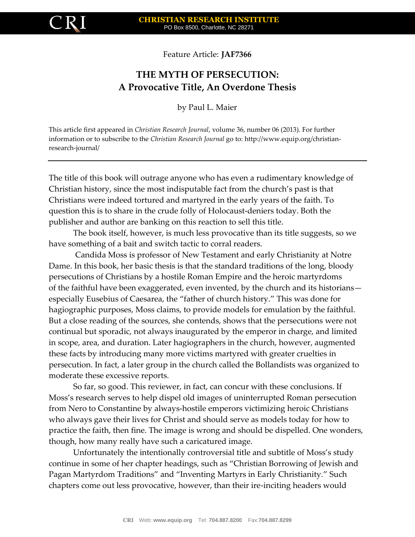

Feature Article: **JAF7366**

## **THE MYTH OF PERSECUTION: A Provocative Title, An Overdone Thesis**

by Paul L. Maier

This article first appeared in *Christian Research Journal*, volume 36, number 06 (2013). For further information or to subscribe to the *Christian Research Journal* go to: http://www.equip.org/christianresearch-journal/

The title of this book will outrage anyone who has even a rudimentary knowledge of Christian history, since the most indisputable fact from the church's past is that Christians were indeed tortured and martyred in the early years of the faith. To question this is to share in the crude folly of Holocaust-deniers today. Both the publisher and author are banking on this reaction to sell this title.

The book itself, however, is much less provocative than its title suggests, so we have something of a bait and switch tactic to corral readers.

Candida Moss is professor of New Testament and early Christianity at Notre Dame. In this book, her basic thesis is that the standard traditions of the long, bloody persecutions of Christians by a hostile Roman Empire and the heroic martyrdoms of the faithful have been exaggerated, even invented, by the church and its historians especially Eusebius of Caesarea, the "father of church history." This was done for hagiographic purposes, Moss claims, to provide models for emulation by the faithful. But a close reading of the sources, she contends, shows that the persecutions were not continual but sporadic, not always inaugurated by the emperor in charge, and limited in scope, area, and duration. Later hagiographers in the church, however, augmented these facts by introducing many more victims martyred with greater cruelties in persecution. In fact, a later group in the church called the Bollandists was organized to moderate these excessive reports.

So far, so good. This reviewer, in fact, can concur with these conclusions. If Moss's research serves to help dispel old images of uninterrupted Roman persecution from Nero to Constantine by always-hostile emperors victimizing heroic Christians who always gave their lives for Christ and should serve as models today for how to practice the faith, then fine. The image is wrong and should be dispelled. One wonders, though, how many really have such a caricatured image.

Unfortunately the intentionally controversial title and subtitle of Moss's study continue in some of her chapter headings, such as "Christian Borrowing of Jewish and Pagan Martyrdom Traditions" and "Inventing Martyrs in Early Christianity." Such chapters come out less provocative, however, than their ire-inciting headers would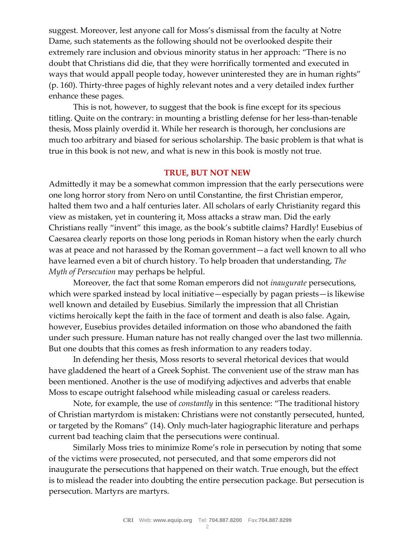suggest. Moreover, lest anyone call for Moss's dismissal from the faculty at Notre Dame, such statements as the following should not be overlooked despite their extremely rare inclusion and obvious minority status in her approach: "There is no doubt that Christians did die, that they were horrifically tormented and executed in ways that would appall people today, however uninterested they are in human rights" (p. 160). Thirty-three pages of highly relevant notes and a very detailed index further enhance these pages.

This is not, however, to suggest that the book is fine except for its specious titling. Quite on the contrary: in mounting a bristling defense for her less-than-tenable thesis, Moss plainly overdid it. While her research is thorough, her conclusions are much too arbitrary and biased for serious scholarship. The basic problem is that what is true in this book is not new, and what is new in this book is mostly not true.

## **TRUE, BUT NOT NEW**

Admittedly it may be a somewhat common impression that the early persecutions were one long horror story from Nero on until Constantine, the first Christian emperor, halted them two and a half centuries later. All scholars of early Christianity regard this view as mistaken, yet in countering it, Moss attacks a straw man. Did the early Christians really "invent" this image, as the book's subtitle claims? Hardly! Eusebius of Caesarea clearly reports on those long periods in Roman history when the early church was at peace and not harassed by the Roman government—a fact well known to all who have learned even a bit of church history. To help broaden that understanding, *The Myth of Persecution* may perhaps be helpful.

Moreover, the fact that some Roman emperors did not *inaugurate* persecutions, which were sparked instead by local initiative—especially by pagan priests—is likewise well known and detailed by Eusebius. Similarly the impression that all Christian victims heroically kept the faith in the face of torment and death is also false. Again, however, Eusebius provides detailed information on those who abandoned the faith under such pressure. Human nature has not really changed over the last two millennia. But one doubts that this comes as fresh information to any readers today.

In defending her thesis, Moss resorts to several rhetorical devices that would have gladdened the heart of a Greek Sophist. The convenient use of the straw man has been mentioned. Another is the use of modifying adjectives and adverbs that enable Moss to escape outright falsehood while misleading casual or careless readers.

Note, for example, the use of *constantly* in this sentence: "The traditional history of Christian martyrdom is mistaken: Christians were not constantly persecuted, hunted, or targeted by the Romans" (14). Only much-later hagiographic literature and perhaps current bad teaching claim that the persecutions were continual.

Similarly Moss tries to minimize Rome's role in persecution by noting that some of the victims were prosecuted, not persecuted, and that some emperors did not inaugurate the persecutions that happened on their watch. True enough, but the effect is to mislead the reader into doubting the entire persecution package. But persecution is persecution. Martyrs are martyrs.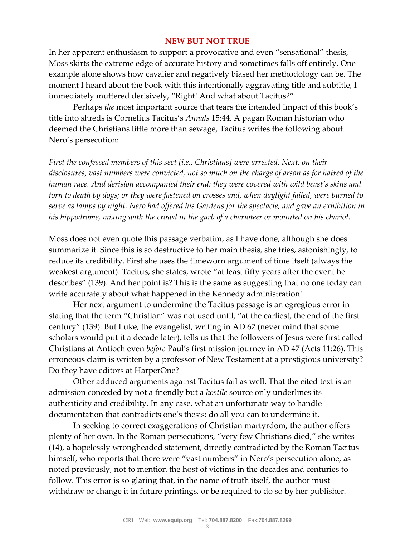## **NEW BUT NOT TRUE**

In her apparent enthusiasm to support a provocative and even "sensational" thesis, Moss skirts the extreme edge of accurate history and sometimes falls off entirely. One example alone shows how cavalier and negatively biased her methodology can be. The moment I heard about the book with this intentionally aggravating title and subtitle, I immediately muttered derisively, "Right! And what about Tacitus?"

Perhaps *the* most important source that tears the intended impact of this book's title into shreds is Cornelius Tacitus's *Annals* 15:44. A pagan Roman historian who deemed the Christians little more than sewage, Tacitus writes the following about Nero's persecution:

*First the confessed members of this sect [i.e., Christians] were arrested. Next, on their disclosures, vast numbers were convicted, not so much on the charge of arson as for hatred of the human race. And derision accompanied their end: they were covered with wild beast's skins and torn to death by dogs; or they were fastened on crosses and, when daylight failed, were burned to serve as lamps by night. Nero had offered his Gardens for the spectacle, and gave an exhibition in his hippodrome, mixing with the crowd in the garb of a charioteer or mounted on his chariot.*

Moss does not even quote this passage verbatim, as I have done, although she does summarize it. Since this is so destructive to her main thesis, she tries, astonishingly, to reduce its credibility. First she uses the timeworn argument of time itself (always the weakest argument): Tacitus, she states, wrote "at least fifty years after the event he describes" (139). And her point is? This is the same as suggesting that no one today can write accurately about what happened in the Kennedy administration!

Her next argument to undermine the Tacitus passage is an egregious error in stating that the term "Christian" was not used until, "at the earliest, the end of the first century" (139). But Luke, the evangelist, writing in AD 62 (never mind that some scholars would put it a decade later), tells us that the followers of Jesus were first called Christians at Antioch even *before* Paul's first mission journey in AD 47 (Acts 11:26). This erroneous claim is written by a professor of New Testament at a prestigious university? Do they have editors at HarperOne?

Other adduced arguments against Tacitus fail as well. That the cited text is an admission conceded by not a friendly but a *hostile* source only underlines its authenticity and credibility. In any case, what an unfortunate way to handle documentation that contradicts one's thesis: do all you can to undermine it.

In seeking to correct exaggerations of Christian martyrdom, the author offers plenty of her own. In the Roman persecutions, "very few Christians died," she writes (14), a hopelessly wrongheaded statement, directly contradicted by the Roman Tacitus himself, who reports that there were "vast numbers" in Nero's persecution alone, as noted previously, not to mention the host of victims in the decades and centuries to follow. This error is so glaring that, in the name of truth itself, the author must withdraw or change it in future printings, or be required to do so by her publisher.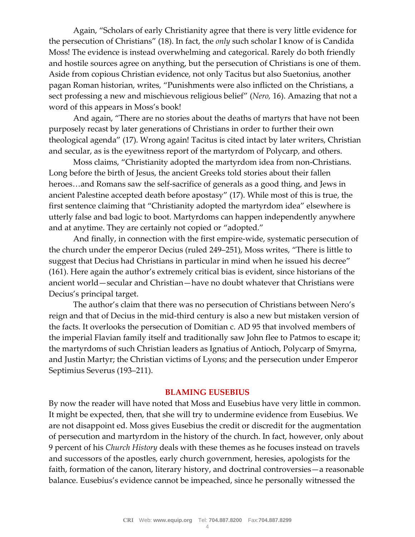Again, "Scholars of early Christianity agree that there is very little evidence for the persecution of Christians" (18). In fact, the *only* such scholar I know of is Candida Moss! The evidence is instead overwhelming and categorical. Rarely do both friendly and hostile sources agree on anything, but the persecution of Christians is one of them. Aside from copious Christian evidence, not only Tacitus but also Suetonius, another pagan Roman historian, writes, "Punishments were also inflicted on the Christians, a sect professing a new and mischievous religious belief" (*Nero,* 16). Amazing that not a word of this appears in Moss's book!

And again, "There are no stories about the deaths of martyrs that have not been purposely recast by later generations of Christians in order to further their own theological agenda" (17). Wrong again! Tacitus is cited intact by later writers, Christian and secular, as is the eyewitness report of the martyrdom of Polycarp, and others.

Moss claims, "Christianity adopted the martyrdom idea from non-Christians. Long before the birth of Jesus, the ancient Greeks told stories about their fallen heroes…and Romans saw the self-sacrifice of generals as a good thing, and Jews in ancient Palestine accepted death before apostasy" (17). While most of this is true, the first sentence claiming that "Christianity adopted the martyrdom idea" elsewhere is utterly false and bad logic to boot. Martyrdoms can happen independently anywhere and at anytime. They are certainly not copied or "adopted."

And finally, in connection with the first empire-wide, systematic persecution of the church under the emperor Decius (ruled 249–251), Moss writes, "There is little to suggest that Decius had Christians in particular in mind when he issued his decree" (161). Here again the author's extremely critical bias is evident, since historians of the ancient world—secular and Christian—have no doubt whatever that Christians were Decius's principal target.

The author's claim that there was no persecution of Christians between Nero's reign and that of Decius in the mid-third century is also a new but mistaken version of the facts. It overlooks the persecution of Domitian c. AD 95 that involved members of the imperial Flavian family itself and traditionally saw John flee to Patmos to escape it; the martyrdoms of such Christian leaders as Ignatius of Antioch, Polycarp of Smyrna, and Justin Martyr; the Christian victims of Lyons; and the persecution under Emperor Septimius Severus (193–211).

## **BLAMING EUSEBIUS**

By now the reader will have noted that Moss and Eusebius have very little in common. It might be expected, then, that she will try to undermine evidence from Eusebius. We are not disappoint ed. Moss gives Eusebius the credit or discredit for the augmentation of persecution and martyrdom in the history of the church. In fact, however, only about 9 percent of his *Church History* deals with these themes as he focuses instead on travels and successors of the apostles, early church government, heresies, apologists for the faith, formation of the canon, literary history, and doctrinal controversies—a reasonable balance. Eusebius's evidence cannot be impeached, since he personally witnessed the